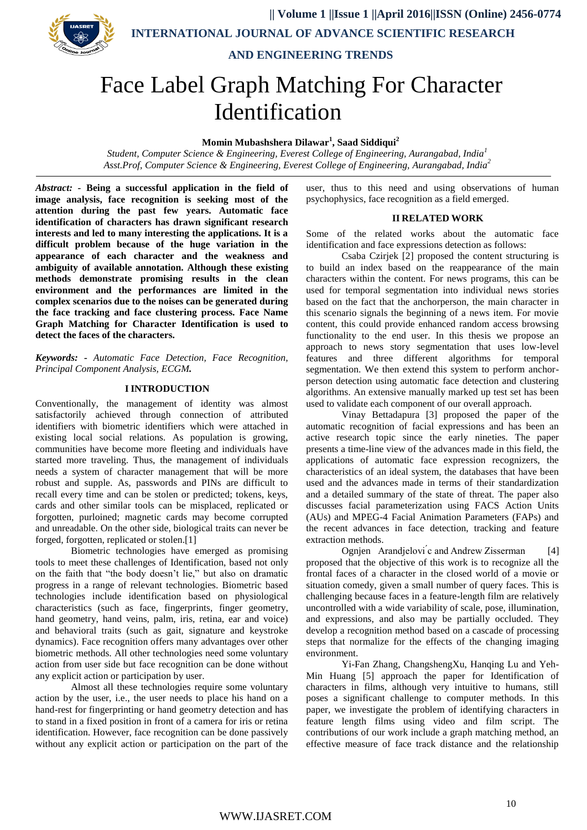

**|| Volume 1 ||Issue 1 ||April 2016||ISSN (Online) 2456-0774**

 **INTERNATIONAL JOURNAL OF ADVANCE SCIENTIFIC RESEARCH**

 **AND ENGINEERING TRENDS**

# Face Label Graph Matching For Character Identification

**Momin Mubashshera Dilawar<sup>1</sup> , Saad Siddiqui<sup>2</sup>**

*Student, Computer Science & Engineering, Everest College of Engineering, Aurangabad, India<sup>1</sup> Asst.Prof, Computer Science & Engineering, Everest College of Engineering, Aurangabad, India<sup>2</sup>*

*Abstract: -* **Being a successful application in the field of image analysis, face recognition is seeking most of the attention during the past few years. Automatic face identification of characters has drawn significant research interests and led to many interesting the applications. It is a difficult problem because of the huge variation in the appearance of each character and the weakness and ambiguity of available annotation. Although these existing methods demonstrate promising results in the clean environment and the performances are limited in the complex scenarios due to the noises can be generated during the face tracking and face clustering process. Face Name Graph Matching for Character Identification is used to detect the faces of the characters.**

*Keywords: - Automatic Face Detection, Face Recognition, Principal Component Analysis, ECGM.*

# **I INTRODUCTION**

Conventionally, the management of identity was almost satisfactorily achieved through connection of attributed identifiers with biometric identifiers which were attached in existing local social relations. As population is growing, communities have become more fleeting and individuals have started more traveling. Thus, the management of individuals needs a system of character management that will be more robust and supple. As, passwords and PINs are difficult to recall every time and can be stolen or predicted; tokens, keys, cards and other similar tools can be misplaced, replicated or forgotten, purloined; magnetic cards may become corrupted and unreadable. On the other side, biological traits can never be forged, forgotten, replicated or stolen.[1]

Biometric technologies have emerged as promising tools to meet these challenges of Identification, based not only on the faith that "the body doesn't lie," but also on dramatic progress in a range of relevant technologies. Biometric based technologies include identification based on physiological characteristics (such as face, fingerprints, finger geometry, hand geometry, hand veins, palm, iris, retina, ear and voice) and behavioral traits (such as gait, signature and keystroke dynamics). Face recognition offers many advantages over other biometric methods. All other technologies need some voluntary action from user side but face recognition can be done without any explicit action or participation by user.

Almost all these technologies require some voluntary action by the user, i.e., the user needs to place his hand on a hand-rest for fingerprinting or hand geometry detection and has to stand in a fixed position in front of a camera for iris or retina identification. However, face recognition can be done passively without any explicit action or participation on the part of the user, thus to this need and using observations of human psychophysics, face recognition as a field emerged.

#### **II RELATED WORK**

Some of the related works about the automatic face identification and face expressions detection as follows:

Csaba Czirjek [2] proposed the content structuring is to build an index based on the reappearance of the main characters within the content. For news programs, this can be used for temporal segmentation into individual news stories based on the fact that the anchorperson, the main character in this scenario signals the beginning of a news item. For movie content, this could provide enhanced random access browsing functionality to the end user. In this thesis we propose an approach to news story segmentation that uses low-level features and three different algorithms for temporal segmentation. We then extend this system to perform anchorperson detection using automatic face detection and clustering algorithms. An extensive manually marked up test set has been used to validate each component of our overall approach.

Vinay Bettadapura [3] proposed the paper of the automatic recognition of facial expressions and has been an active research topic since the early nineties. The paper presents a time-line view of the advances made in this field, the applications of automatic face expression recognizers, the characteristics of an ideal system, the databases that have been used and the advances made in terms of their standardization and a detailed summary of the state of threat. The paper also discusses facial parameterization using FACS Action Units (AUs) and MPEG-4 Facial Animation Parameters (FAPs) and the recent advances in face detection, tracking and feature extraction methods.

Ognjen Arandjelovi ́c and Andrew Zisserman [4] proposed that the objective of this work is to recognize all the frontal faces of a character in the closed world of a movie or situation comedy, given a small number of query faces. This is challenging because faces in a feature-length film are relatively uncontrolled with a wide variability of scale, pose, illumination, and expressions, and also may be partially occluded. They develop a recognition method based on a cascade of processing steps that normalize for the effects of the changing imaging environment.

Yi-Fan Zhang, ChangshengXu, Hanging Lu and Yeh-Min Huang [5] approach the paper for Identification of characters in films, although very intuitive to humans, still poses a significant challenge to computer methods. In this paper, we investigate the problem of identifying characters in feature length films using video and film script. The contributions of our work include a graph matching method, an effective measure of face track distance and the relationship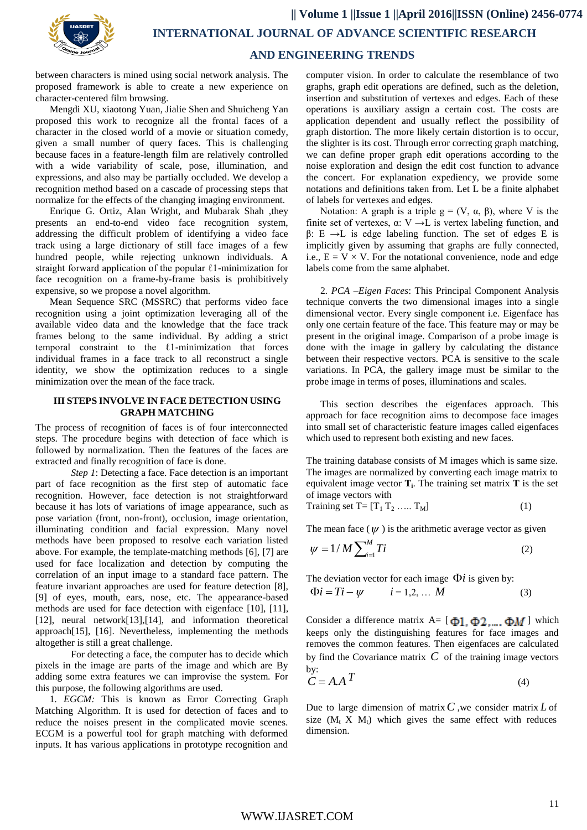between characters is mined using social network analysis. The proposed framework is able to create a new experience on character-centered film browsing.

Mengdi XU, xiaotong Yuan, Jialie Shen and Shuicheng Yan proposed this work to recognize all the frontal faces of a character in the closed world of a movie or situation comedy, given a small number of query faces. This is challenging because faces in a feature-length film are relatively controlled with a wide variability of scale, pose, illumination, and expressions, and also may be partially occluded. We develop a recognition method based on a cascade of processing steps that normalize for the effects of the changing imaging environment.

Enrique G. Ortiz, Alan Wright, and Mubarak Shah ,they presents an end-to-end video face recognition system, addressing the difficult problem of identifying a video face track using a large dictionary of still face images of a few hundred people, while rejecting unknown individuals. A straight forward application of the popular  $\ell$ 1-minimization for face recognition on a frame-by-frame basis is prohibitively expensive, so we propose a novel algorithm.

Mean Sequence SRC (MSSRC) that performs video face recognition using a joint optimization leveraging all of the available video data and the knowledge that the face track frames belong to the same individual. By adding a strict temporal constraint to the ℓ1-minimization that forces individual frames in a face track to all reconstruct a single identity, we show the optimization reduces to a single minimization over the mean of the face track.

# **III STEPS INVOLVE IN FACE DETECTION USING GRAPH MATCHING**

The process of recognition of faces is of four interconnected steps. The procedure begins with detection of face which is followed by normalization. Then the features of the faces are extracted and finally recognition of face is done.

*Step 1*: Detecting a face. Face detection is an important part of face recognition as the first step of automatic face recognition. However, face detection is not straightforward because it has lots of variations of image appearance, such as pose variation (front, non-front), occlusion, image orientation, illuminating condition and facial expression. Many novel methods have been proposed to resolve each variation listed above. For example, the template-matching methods [6], [7] are used for face localization and detection by computing the correlation of an input image to a standard face pattern. The feature invariant approaches are used for feature detection [8], [9] of eyes, mouth, ears, nose, etc. The appearance-based methods are used for face detection with eigenface [10], [11], [12], neural network<sup>[13]</sup>,<sup>[14]</sup>, and information theoretical approach[15], [16]. Nevertheless, implementing the methods altogether is still a great challenge.

For detecting a face, the computer has to decide which pixels in the image are parts of the image and which are By adding some extra features we can improvise the system. For this purpose, the following algorithms are used.

1*. EGCM:* This is known as Error Correcting Graph Matching Algorithm. It is used for detection of faces and to reduce the noises present in the complicated movie scenes. ECGM is a powerful tool for graph matching with deformed inputs. It has various applications in prototype recognition and

computer vision. In order to calculate the resemblance of two graphs, graph edit operations are defined, such as the deletion, insertion and substitution of vertexes and edges. Each of these operations is auxiliary assign a certain cost. The costs are application dependent and usually reflect the possibility of graph distortion. The more likely certain distortion is to occur, the slighter is its cost. Through error correcting graph matching, we can define proper graph edit operations according to the noise exploration and design the edit cost function to advance the concert. For explanation expediency, we provide some notations and definitions taken from. Let L be a finite alphabet of labels for vertexes and edges.

Notation: A graph is a triple  $g = (V, \alpha, \beta)$ , where V is the finite set of vertexes,  $\alpha$ : V  $\rightarrow$  L is vertex labeling function, and β: E →L is edge labeling function. The set of edges E is implicitly given by assuming that graphs are fully connected, i.e.,  $E = V \times V$ . For the notational convenience, node and edge labels come from the same alphabet.

2*. PCA –Eigen Faces*: This Principal Component Analysis technique converts the two dimensional images into a single dimensional vector. Every single component i.e. Eigenface has only one certain feature of the face. This feature may or may be present in the original image. Comparison of a probe image is done with the image in gallery by calculating the distance between their respective vectors. PCA is sensitive to the scale variations. In PCA, the gallery image must be similar to the probe image in terms of poses, illuminations and scales.

This section describes the eigenfaces approach. This approach for face recognition aims to decompose face images into small set of characteristic feature images called eigenfaces which used to represent both existing and new faces.

The training database consists of M images which is same size. The images are normalized by converting each image matrix to equivalent image vector **T<sup>i</sup>** . The training set matrix **T** is the set of image vectors with

$$
Training set T = [T_1 T_2 \dots T_M]
$$
\n(1)

The mean face  $(\psi)$  is the arithmetic average vector as given

$$
\psi = 1/M \sum_{i=1}^{M} Ti \tag{2}
$$

The deviation vector for each image  $\Phi i$  is given by:

$$
\Phi i = Ti - \psi \qquad i = 1, 2, \dots M \tag{3}
$$

Consider a difference matrix A=  $[\Phi_1, \Phi_2, \dots, \Phi_M]$  which keeps only the distinguishing features for face images and removes the common features. Then eigenfaces are calculated by find the Covariance matrix  $C$  of the training image vectors by:

$$
C = A \cdot A \cdot T \tag{4}
$$

Due to large dimension of matrix C, we consider matrix L of size  $(M_t X M_t)$  which gives the same effect with reduces dimension.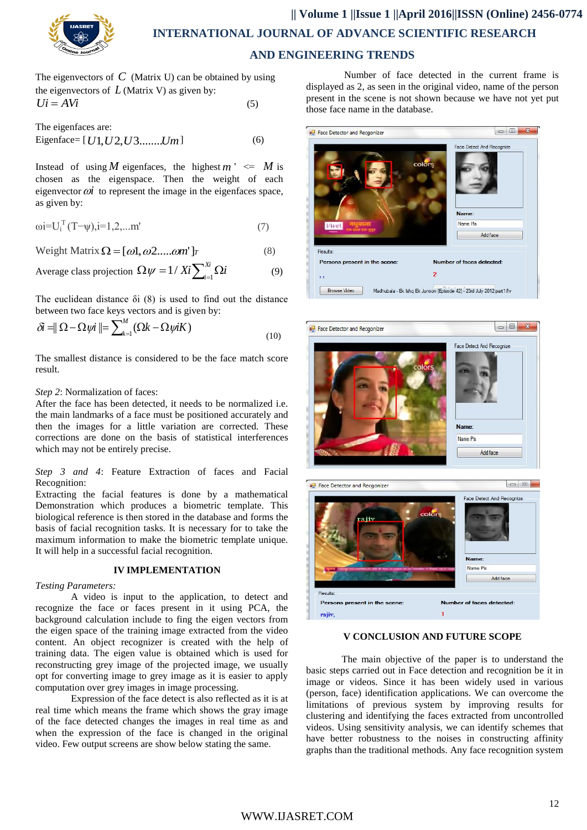

# **|| Volume 1 ||Issue 1 ||April 2016||ISSN (Online) 2456-0774 INTERNATIONAL JOURNAL OF ADVANCE SCIENTIFIC RESEARCH AND ENGINEERING TRENDS**

The eigenvectors of  $C$  (Matrix U) can be obtained by using the eigenvectors of  $L$  (Matrix V) as given by:  $Ui = AVi$  (5)

The eigenfaces are:  
Eigenface= 
$$
[U1, U2, U3, \ldots, Um]
$$

Instead of using *M* eigenfaces, the highest  $m' \leq M$  is chosen as the eigenspace. Then the weight of each eigenvector  $\omega i$  to represent the image in the eigenfaces space, as given by:

 $(6)$ 

$$
\omega i = U_i^T (T - \psi), i = 1, 2, \dots m'
$$
 (7)

Weight Matrix  $\Omega = [\omega 1, \omega 2, \ldots, \omega m']$ *T* (8)

Average class projection 
$$
\Omega \psi = 1 / Xi \sum_{i=1}^{Xi} \Omega i
$$
 (9)

The euclidean distance  $\delta i$  (8) is used to find out the distance between two face keys vectors and is given by:

$$
\delta \vec{\mathbf{a}} = \|\Omega - \Omega \psi \vec{\mathbf{a}}\| = \sum_{k=1}^{M} (\Omega k - \Omega \psi \vec{\mathbf{a}} K) \tag{10}
$$

The smallest distance is considered to be the face match score result.

#### *Step 2*: Normalization of faces:

After the face has been detected, it needs to be normalized i.e. the main landmarks of a face must be positioned accurately and then the images for a little variation are corrected. These corrections are done on the basis of statistical interferences which may not be entirely precise.

*Step 3 and 4*: Feature Extraction of faces and Facial Recognition:

Extracting the facial features is done by a mathematical Demonstration which produces a biometric template. This biological reference is then stored in the database and forms the basis of facial recognition tasks. It is necessary for to take the maximum information to make the biometric template unique. It will help in a successful facial recognition.

# **IV IMPLEMENTATION**

#### *Testing Parameters:*

A video is input to the application, to detect and recognize the face or faces present in it using PCA, the background calculation include to fing the eigen vectors from the eigen space of the training image extracted from the video content. An object recognizer is created with the help of training data. The eigen value is obtained which is used for reconstructing grey image of the projected image, we usually opt for converting image to grey image as it is easier to apply computation over grey images in image processing.

Expression of the face detect is also reflected as it is at real time which means the frame which shows the gray image of the face detected changes the images in real time as and when the expression of the face is changed in the original video. Few output screens are show below stating the same.

Number of face detected in the current frame is displayed as 2, as seen in the original video, name of the person present in the scene is not shown because we have not yet put those face name in the database.





### **V CONCLUSION AND FUTURE SCOPE**

The main objective of the paper is to understand the basic steps carried out in Face detection and recognition be it in image or videos. Since it has been widely used in various (person, face) identification applications. We can overcome the limitations of previous system by improving results for clustering and identifying the faces extracted from uncontrolled videos. Using sensitivity analysis, we can identify schemes that have better robustness to the noises in constructing affinity graphs than the traditional methods. Any face recognition system